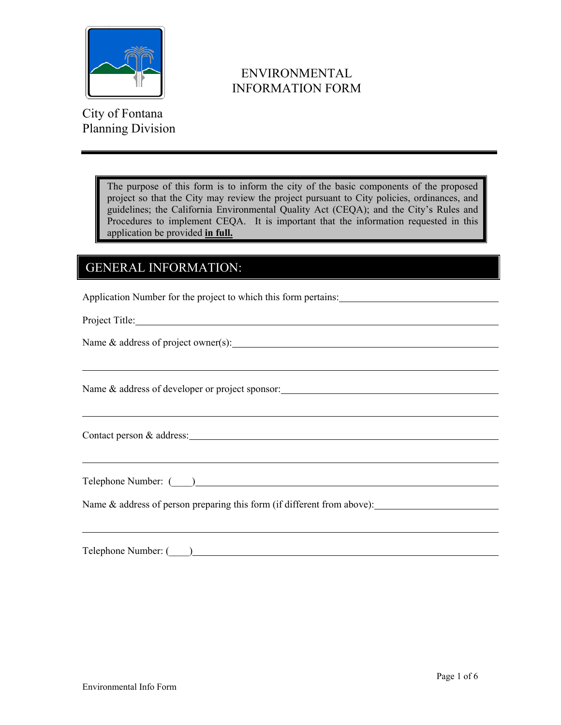

 ENVIRONMENTAL INFORMATION FORM

City of Fontana Planning Division

> The purpose of this form is to inform the city of the basic components of the proposed project so that the City may review the project pursuant to City policies, ordinances, and guidelines; the California Environmental Quality Act (CEQA); and the Cityís Rules and Procedures to implement CEQA. It is important that the information requested in this application be provided **in full.**

## GENERAL INFORMATION:

Application Number for the project to which this form pertains:

Project Title:

Name & address of project owner(s):

Name & address of developer or project sponsor:

Contact person & address: Universe of the contract person of the contract person of the contract person of the contract of the contract of the contract of the contract of the contract of the contract of the contract of the

Telephone Number: (  $\qquad$  )

Name  $\&$  address of person preparing this form (if different from above):

Telephone Number: (  $\qquad$  )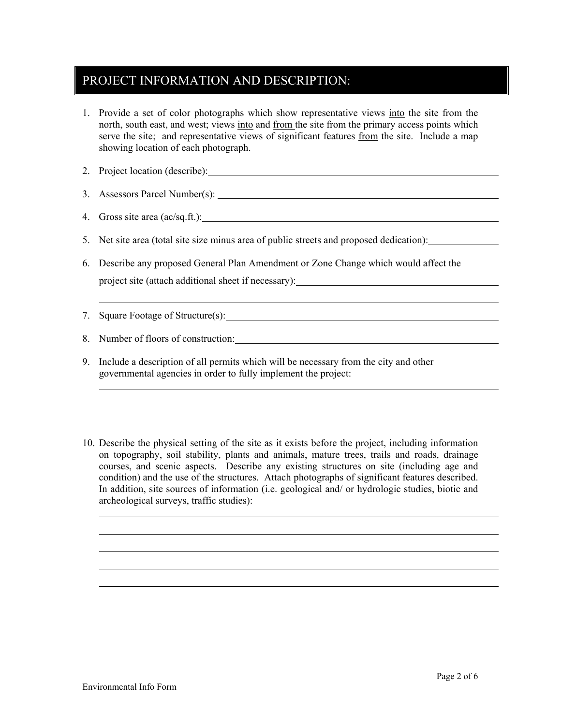## PROJECT INFORMATION AND DESCRIPTION:

- 1. Provide a set of color photographs which show representative views into the site from the north, south east, and west; views into and from the site from the primary access points which serve the site; and representative views of significant features from the site. Include a map showing location of each photograph.
- 2. Project location (describe):
- 3. Assessors Parcel Number(s):
- 4. Gross site area (ac/sq.ft.):
- 5. Net site area (total site size minus area of public streets and proposed dedication):
- 6. Describe any proposed General Plan Amendment or Zone Change which would affect the project site (attach additional sheet if necessary):
- 7. Square Footage of Structure(s):

8. Number of floors of construction:

- 9. Include a description of all permits which will be necessary from the city and other governmental agencies in order to fully implement the project:
- 10. Describe the physical setting of the site as it exists before the project, including information on topography, soil stability, plants and animals, mature trees, trails and roads, drainage courses, and scenic aspects. Describe any existing structures on site (including age and condition) and the use of the structures. Attach photographs of significant features described. In addition, site sources of information (i.e. geological and/ or hydrologic studies, biotic and archeological surveys, traffic studies):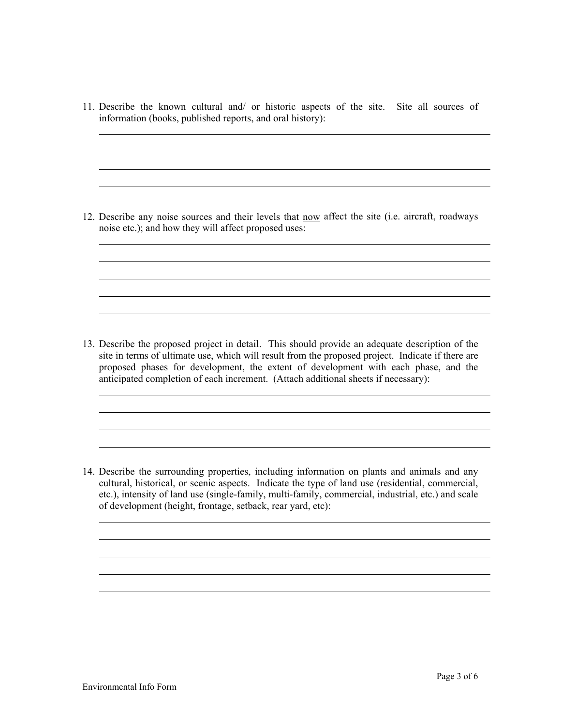11. Describe the known cultural and/ or historic aspects of the site. Site all sources of information (books, published reports, and oral history):

12. Describe any noise sources and their levels that now affect the site (i.e. aircraft, roadways noise etc.); and how they will affect proposed uses:

13. Describe the proposed project in detail. This should provide an adequate description of the site in terms of ultimate use, which will result from the proposed project. Indicate if there are proposed phases for development, the extent of development with each phase, and the anticipated completion of each increment. (Attach additional sheets if necessary):

14. Describe the surrounding properties, including information on plants and animals and any cultural, historical, or scenic aspects. Indicate the type of land use (residential, commercial, etc.), intensity of land use (single-family, multi-family, commercial, industrial, etc.) and scale of development (height, frontage, setback, rear yard, etc):

<u> 1989 - Johann Stoff, amerikansk politiker (d. 1989)</u>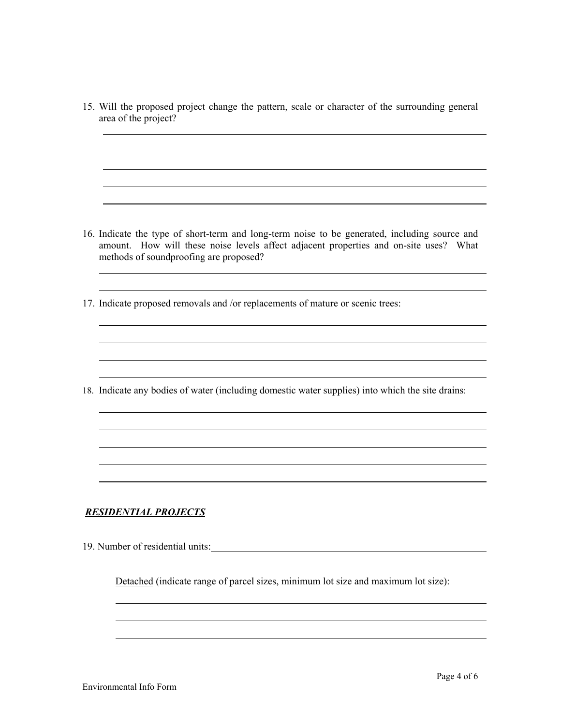15. Will the proposed project change the pattern, scale or character of the surrounding general area of the project? 16. Indicate the type of short-term and long-term noise to be generated, including source and amount. How will these noise levels affect adjacent properties and on-site uses? What methods of soundproofing are proposed? 17. Indicate proposed removals and /or replacements of mature or scenic trees: 18. Indicate any bodies of water (including domestic water supplies) into which the site drains:

## *RESIDENTIAL PROJECTS*

19. Number of residential units:

Detached (indicate range of parcel sizes, minimum lot size and maximum lot size):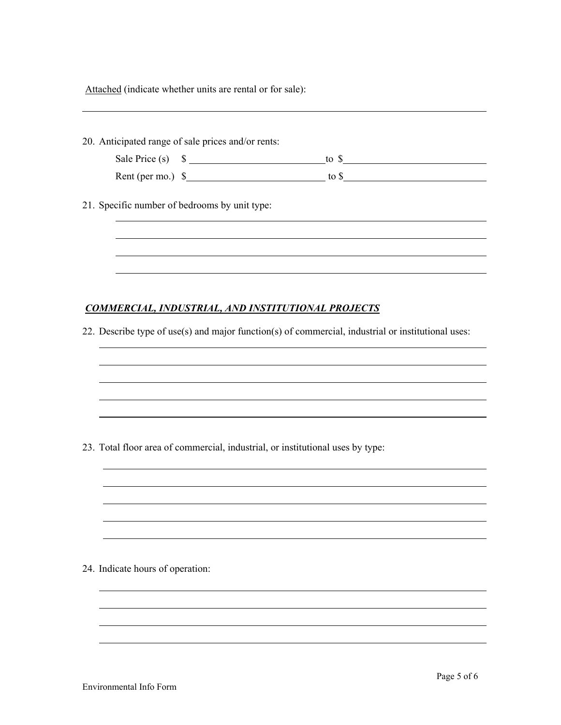| Attached (indicate whether units are rental or for sale): |  |  |  |  |  |  |  |
|-----------------------------------------------------------|--|--|--|--|--|--|--|
|-----------------------------------------------------------|--|--|--|--|--|--|--|

|                                  |                                                                                | Sale Price (s) $\quad \bullet$ $\qquad \qquad$ to $\bullet$                                        |  |
|----------------------------------|--------------------------------------------------------------------------------|----------------------------------------------------------------------------------------------------|--|
|                                  |                                                                                | Rent (per mo.) $\frac{1}{2}$ to $\frac{1}{2}$ to $\frac{1}{2}$ to $\frac{1}{2}$                    |  |
|                                  | 21. Specific number of bedrooms by unit type:                                  |                                                                                                    |  |
|                                  |                                                                                |                                                                                                    |  |
|                                  |                                                                                |                                                                                                    |  |
|                                  | COMMERCIAL, INDUSTRIAL, AND INSTITUTIONAL PROJECTS                             |                                                                                                    |  |
|                                  |                                                                                | 22. Describe type of use(s) and major function(s) of commercial, industrial or institutional uses: |  |
|                                  |                                                                                |                                                                                                    |  |
|                                  |                                                                                |                                                                                                    |  |
|                                  |                                                                                |                                                                                                    |  |
|                                  |                                                                                |                                                                                                    |  |
|                                  | 23. Total floor area of commercial, industrial, or institutional uses by type: |                                                                                                    |  |
|                                  |                                                                                |                                                                                                    |  |
|                                  |                                                                                |                                                                                                    |  |
|                                  |                                                                                |                                                                                                    |  |
|                                  |                                                                                |                                                                                                    |  |
|                                  |                                                                                |                                                                                                    |  |
|                                  |                                                                                |                                                                                                    |  |
| 24. Indicate hours of operation: |                                                                                |                                                                                                    |  |